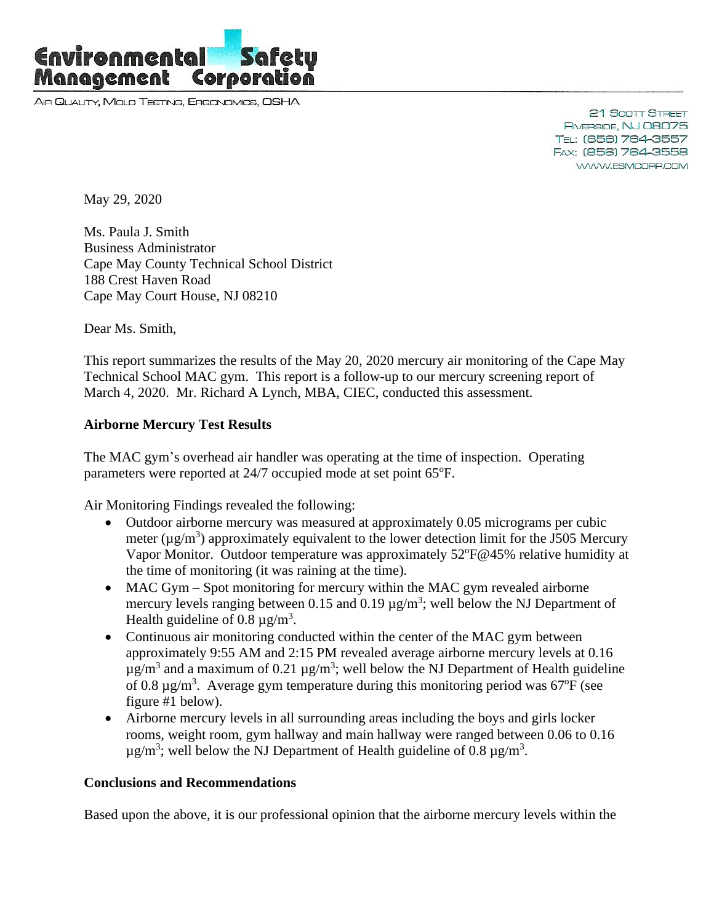

AIR QUALITY, MOLD TESTING, ERGONOMICS, OSHA

21 Scott Street RIVERSIDE, NJ 08075 TEL: (856) 764-3557 FAX: (856) 764-3558 WWW.ESMCORP.COM

May 29, 2020

Ms. Paula J. Smith Business Administrator Cape May County Technical School District 188 Crest Haven Road Cape May Court House, NJ 08210

Dear Ms. Smith,

This report summarizes the results of the May 20, 2020 mercury air monitoring of the Cape May Technical School MAC gym. This report is a follow-up to our mercury screening report of March 4, 2020. Mr. Richard A Lynch, MBA, CIEC, conducted this assessment.

## **Airborne Mercury Test Results**

The MAC gym's overhead air handler was operating at the time of inspection. Operating parameters were reported at 24/7 occupied mode at set point 65°F.

Air Monitoring Findings revealed the following:

- Outdoor airborne mercury was measured at approximately 0.05 micrograms per cubic meter ( $\mu$ g/m<sup>3</sup>) approximately equivalent to the lower detection limit for the J505 Mercury Vapor Monitor. Outdoor temperature was approximately 52°F@45% relative humidity at the time of monitoring (it was raining at the time).
- MAC Gym Spot monitoring for mercury within the MAC gym revealed airborne mercury levels ranging between 0.15 and 0.19  $\mu$ g/m<sup>3</sup>; well below the NJ Department of Health guideline of 0.8  $\mu$ g/m<sup>3</sup>.
- Continuous air monitoring conducted within the center of the MAC gym between approximately 9:55 AM and 2:15 PM revealed average airborne mercury levels at 0.16  $\mu$ g/m<sup>3</sup> and a maximum of 0.21  $\mu$ g/m<sup>3</sup>; well below the NJ Department of Health guideline of 0.8  $\mu$ g/m<sup>3</sup>. Average gym temperature during this monitoring period was 67°F (see figure #1 below).
- Airborne mercury levels in all surrounding areas including the boys and girls locker rooms, weight room, gym hallway and main hallway were ranged between 0.06 to 0.16  $\mu$ g/m<sup>3</sup>; well below the NJ Department of Health guideline of 0.8  $\mu$ g/m<sup>3</sup>.

## **Conclusions and Recommendations**

Based upon the above, it is our professional opinion that the airborne mercury levels within the